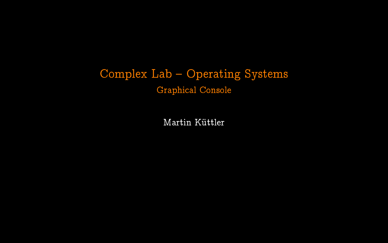# Complex Lab - Operating Systems Graphical Console

Martin Küttler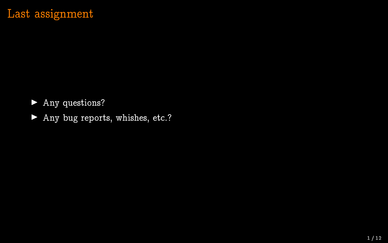## Last assignment

▶ Any questions?

▶ Any bug reports, whishes, etc.?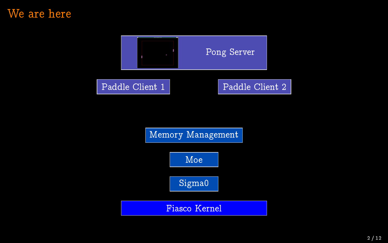### We are here



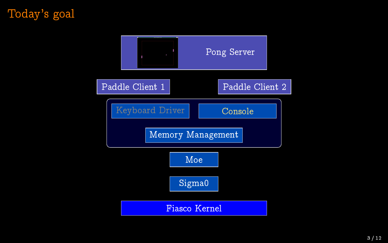# Today's goal

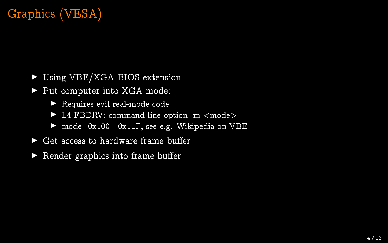# Graphics (VESA)

- ▶ Using VBE/XGA BIOS extension
- ▶ Put computer into XGA mode:
	- $\blacktriangleright$  Requires evil real-mode code
	- $\blacktriangleright$  L4 FBDRV: command line option -m  $\langle$  mode $\rangle$
	- $\blacktriangleright$  mode: 0x100 0x11F, see e.g. Wikipedia on VBE
- $\blacktriangleright$  Get access to hardware frame buffer
- $\blacktriangleright$  Render graphics into frame buffer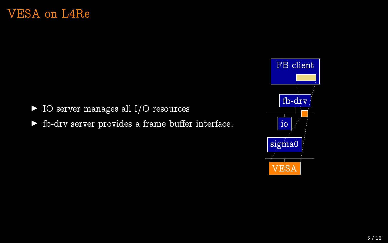$\blacktriangleright$  IO server manages all I/O resources

 $\blacktriangleright$  fb-drv server provides a frame buffer interface.

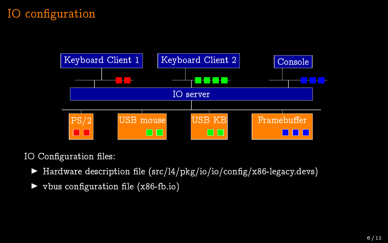# IO configuration



IO Configuration files:

- $\blacktriangleright$  Hardware description file (src/l4/pkg/io/io/config/x86-legacy.devs)
- $v$ bus configuration file (x86-fb.io)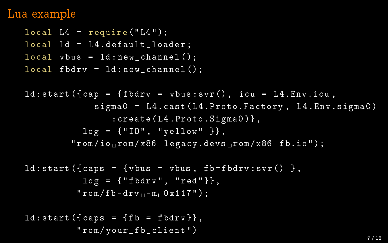### Lua example

```
local L4 = require('L4");
local Id = L4.default loader ;
local vbus = ld:new-channel();
local fbdrv = ld: new<sub>channel</sub>();
ld: start({cap = fbdry = vbus: svr(), icu = L4.Env.icu,
              sigma0 = L4.cast (L4. Proto. Factory, L4. Env. sigma0)
                 : create ( L4.Proto.Sigma0 )} ,
           \log = {\texttt{["I0", "yellow" } },"rom/io_{11}rom/x86-legacy.devs_{11}rom/x86-fb.io";
ld: start({cases = fvbus = vbus, fbfbdrv: svr() }.log = {"floatv", "red"\},
          "rom/fb-drv_{++}-m_{++}0x\overline{117" ;
ld: start (fcases = ffb = fbdry;
          " rom / your_fb_client ")
                                                                     7 / 12
```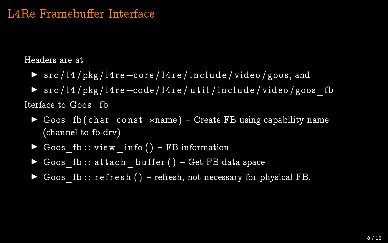### L4Re Framebuffer Interface

Headers are at

- $\triangleright$  src / 14 / pkg / 14 re -core / 14 re / include / video / goos, and
- ▶ src / 14 / pkg / 14 r e code / 14 r e / util / include / video / goos fb Iterface to Goos\_fb
	- $\triangleright$  Goos fb ( char const \*name ) Create FB using capability name (channel to fb-drv)
	- Goos fb:: view info ()  $-FB$  information
	- Goos fb:: attach buffer () Get FB data space
	- $\blacktriangleright$  Goos fb :: r e f r e s h ( ) refresh, not necessary for physical FB.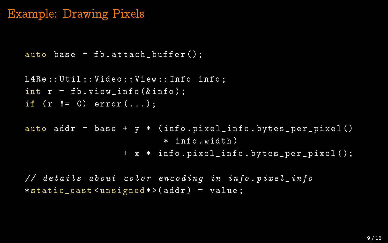#### Example: Drawing Pixels

```
auto base = fb. attach buffer();
```

```
L4Re :: Util :: Video :: View :: Info info ;
int r = fb \cdot v iew\_info (kinfo);
if (r := 0) error(...);
```

```
auto addr = base + y * (info.pixel info.bytes per pixel ()* info . width )
                  + x * info . pixel_info . bytes_per_pixel ();
```
// details about color encoding in info . pixel\_info \* static\_cast < unsigned \* >( addr ) = value ;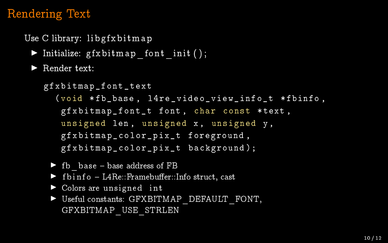## Rendering Text

Use C library: libgfx bit map

 $\blacktriangleright$  Initialize: gfxbitmap font init ( );

 $\blacktriangleright$  Render text:

```
gfxbitmap_font_text
  (void *fb base, l4re video view info t *fbinfo,
   gfxbitmap_font_t font , char const * text ,
   unsigned len, unsigned x, unsigned y,
   gfxbitmap_color_pix_t foreground ,
   gfxbitmap_color_pix_t background );
```
- $\blacktriangleright$  fb base base address of FB
- $\triangleright$  f b i n f o L4Re:: Framebuffer:: Info struct, cast
- $\triangleright$  Colors are unsigned int
- ▶ Useful constants: GFXBITMAP\_DEFAULT\_FONT, GFXBITMAP\_USE\_STRLEN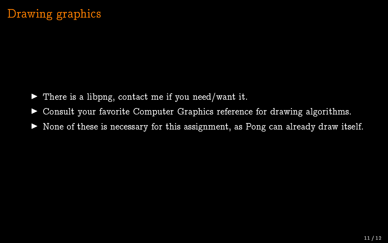- $\blacktriangleright$  There is a libpng, contact me if you need/want it.
- $\triangleright$  Consult your favorite Computer Graphics reference for drawing algorithms.
- $\triangleright$  None of these is necessary for this assignment, as Pong can already draw itself.